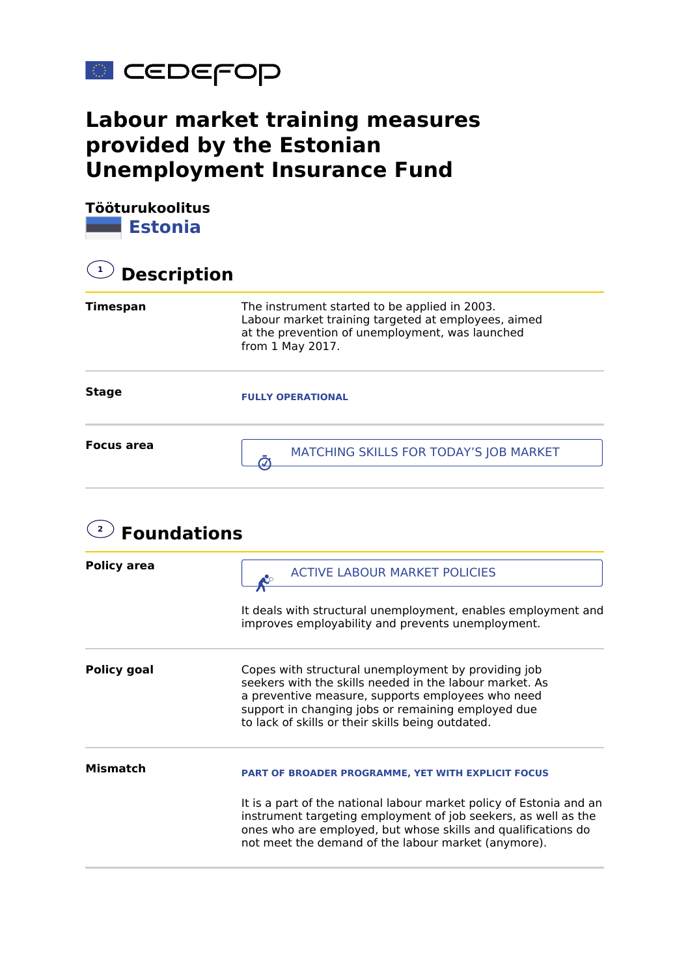

## **Labour market training measures provided by the Estonian Unemployment Insurance Fund**

**Tööturukoolitus Estonia**

| <b>Description</b> |                                                                                                                                                                             |  |
|--------------------|-----------------------------------------------------------------------------------------------------------------------------------------------------------------------------|--|
| <b>Timespan</b>    | The instrument started to be applied in 2003.<br>Labour market training targeted at employees, aimed<br>at the prevention of unemployment, was launched<br>from 1 May 2017. |  |
| <b>Stage</b>       | <b>FULLY OPERATIONAL</b>                                                                                                                                                    |  |
| Focus area         | MATCHING SKILLS FOR TODAY'S JOB MARKET                                                                                                                                      |  |

| <b>Foundations</b> |                                                                                                                                                                                                                                                                                |
|--------------------|--------------------------------------------------------------------------------------------------------------------------------------------------------------------------------------------------------------------------------------------------------------------------------|
| <b>Policy area</b> | <b>ACTIVE LABOUR MARKET POLICIES</b>                                                                                                                                                                                                                                           |
|                    | It deals with structural unemployment, enables employment and<br>improves employability and prevents unemployment.                                                                                                                                                             |
| <b>Policy goal</b> | Copes with structural unemployment by providing job<br>seekers with the skills needed in the labour market. As<br>a preventive measure, supports employees who need<br>support in changing jobs or remaining employed due<br>to lack of skills or their skills being outdated. |
| Mismatch           | <b>PART OF BROADER PROGRAMME, YET WITH EXPLICIT FOCUS</b>                                                                                                                                                                                                                      |
|                    | It is a part of the national labour market policy of Estonia and an<br>instrument targeting employment of job seekers, as well as the<br>ones who are employed, but whose skills and qualifications do<br>not meet the demand of the labour market (anymore).                  |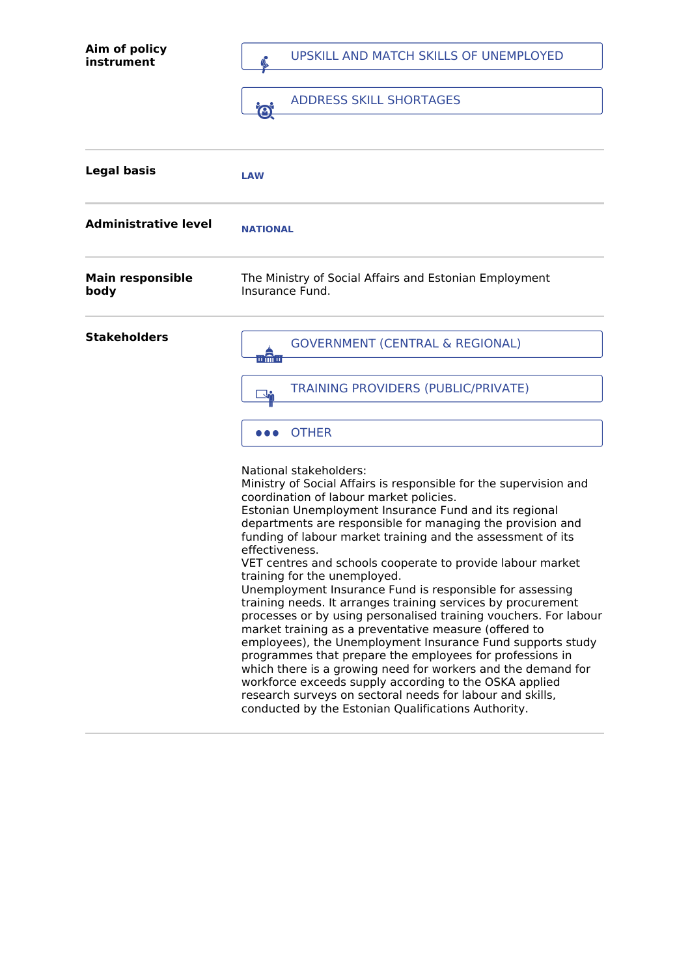| Aim of policy<br>instrument     | UPSKILL AND MATCH SKILLS OF UNEMPLOYED<br><b>ADDRESS SKILL SHORTAGES</b><br><b>i®</b>                                                                                                                                                                                                                                                                                                                                                                                                                                                                                                                                                                                                                                                                                                                                                           |
|---------------------------------|-------------------------------------------------------------------------------------------------------------------------------------------------------------------------------------------------------------------------------------------------------------------------------------------------------------------------------------------------------------------------------------------------------------------------------------------------------------------------------------------------------------------------------------------------------------------------------------------------------------------------------------------------------------------------------------------------------------------------------------------------------------------------------------------------------------------------------------------------|
| <b>Legal basis</b>              | <b>LAW</b>                                                                                                                                                                                                                                                                                                                                                                                                                                                                                                                                                                                                                                                                                                                                                                                                                                      |
| <b>Administrative level</b>     | <b>NATIONAL</b>                                                                                                                                                                                                                                                                                                                                                                                                                                                                                                                                                                                                                                                                                                                                                                                                                                 |
| <b>Main responsible</b><br>body | The Ministry of Social Affairs and Estonian Employment<br>Insurance Fund.                                                                                                                                                                                                                                                                                                                                                                                                                                                                                                                                                                                                                                                                                                                                                                       |
| <b>Stakeholders</b>             | <b>GOVERNMENT (CENTRAL &amp; REGIONAL)</b><br>ii în ii<br>TRAINING PROVIDERS (PUBLIC/PRIVATE)                                                                                                                                                                                                                                                                                                                                                                                                                                                                                                                                                                                                                                                                                                                                                   |
|                                 | <b>OTHER</b><br>National stakeholders:<br>Ministry of Social Affairs is responsible for the supervision and<br>coordination of labour market policies.<br>Estonian Unemployment Insurance Fund and its regional<br>departments are responsible for managing the provision and<br>funding of labour market training and the assessment of its<br>effectiveness.<br>VET centres and schools cooperate to provide labour market<br>training for the unemployed.<br>Unemployment Insurance Fund is responsible for assessing<br>training needs. It arranges training services by procurement<br>processes or by using personalised training vouchers. For labour<br>market training as a preventative measure (offered to<br>employees), the Unemployment Insurance Fund supports study<br>programmes that prepare the employees for professions in |
|                                 | which there is a growing need for workers and the demand for<br>workforce exceeds supply according to the OSKA applied<br>research surveys on sectoral needs for labour and skills,<br>conducted by the Estonian Qualifications Authority.                                                                                                                                                                                                                                                                                                                                                                                                                                                                                                                                                                                                      |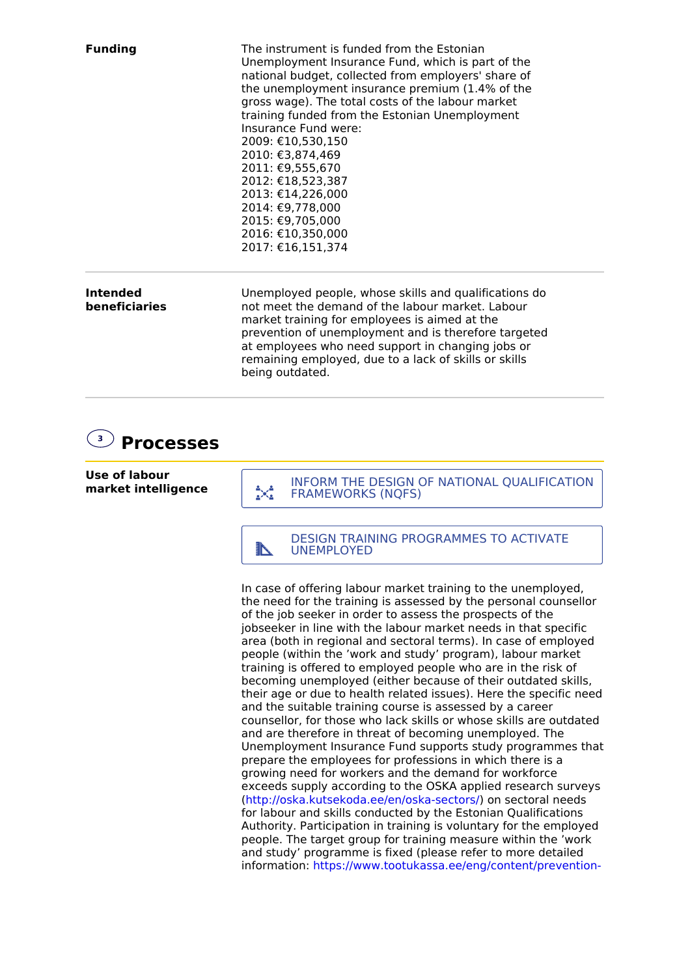| <b>Funding</b>                   | The instrument is funded from the Estonian<br>Unemployment Insurance Fund, which is part of the<br>national budget, collected from employers' share of<br>the unemployment insurance premium (1.4% of the<br>gross wage). The total costs of the labour market<br>training funded from the Estonian Unemployment<br>Insurance Fund were:<br>2009: €10,530,150<br>2010: €3,874,469<br>2011: €9,555,670<br>2012: €18,523,387<br>2013: €14,226,000<br>2014: €9,778,000<br>2015: €9,705,000<br>2016: €10,350,000<br>2017: €16,151,374 |
|----------------------------------|-----------------------------------------------------------------------------------------------------------------------------------------------------------------------------------------------------------------------------------------------------------------------------------------------------------------------------------------------------------------------------------------------------------------------------------------------------------------------------------------------------------------------------------|
| <b>Intended</b><br>beneficiaries | Unemployed people, whose skills and qualifications do<br>not meet the demand of the labour market. Labour<br>market training for employees is aimed at the<br>prevention of unemployment and is therefore targeted<br>at employees who need support in changing jobs or<br>remaining employed, due to a lack of skills or skills<br>being outdated.                                                                                                                                                                               |

## **3 Processes**

**Use of labour market intelligence**

INFORM THE DESIGN OF NATIONAL QUALIFICATION<br>
FRAMEWORKS (NQFS)

DESIGN TRAINING PROGRAMMES TO ACTIVATE

In case of offering labour market training to the unemployed, the need for the training is assessed by the personal counsellor of the job seeker in order to assess the prospects of the jobseeker in line with the labour market needs in that specific area (both in regional and sectoral terms). In case of employed people (within the 'work and study' program), labour market training is offered to employed people who are in the risk of becoming unemployed (either because of their outdated skills, their age or due to health related issues). Here the specific need and the suitable training course is assessed by a career counsellor, for those who lack skills or whose skills are outdated and are therefore in threat of becoming unemployed. The Unemployment Insurance Fund supports study programmes that prepare the employees for professions in which there is a growing need for workers and the demand for workforce exceeds supply according to the OSKA applied research surveys (<http://oska.kutsekoda.ee/en/oska-sectors/>) on sectoral needs for labour and skills conducted by the Estonian Qualifications Authority. Participation in training is voluntary for the employed people. The target group for training measure within the 'work and study' programme is fixed (please refer to more detailed information: [https://www.tootukassa.ee/eng/content/prevention-](https://www.tootukassa.ee/eng/content/prevention-unemployment/eligibility-training)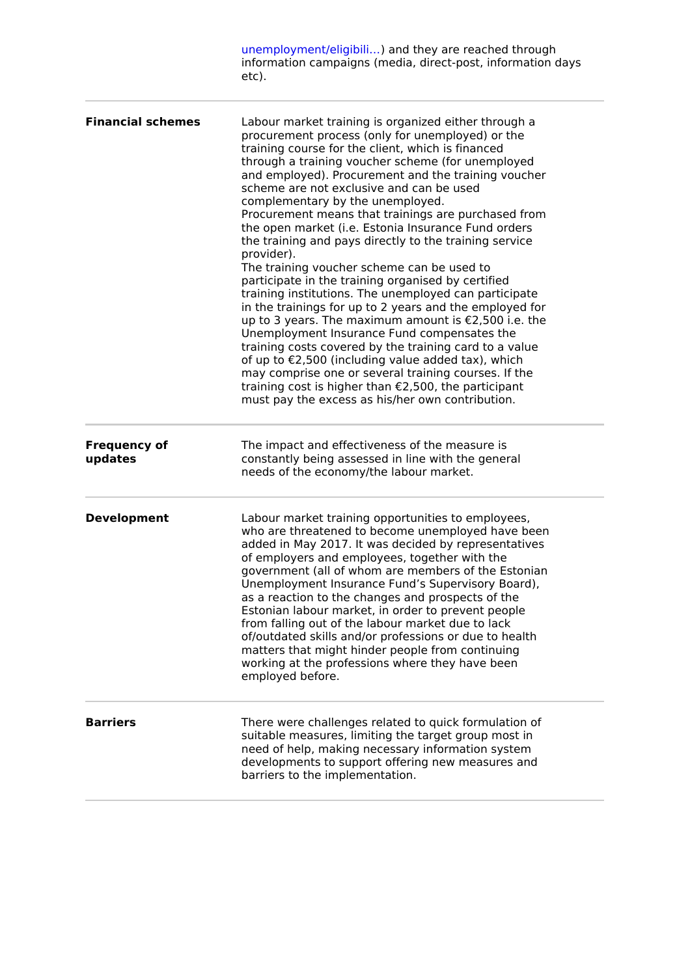|                                | unemployment/eligibili) and they are reached through<br>information campaigns (media, direct-post, information days<br>etc).                                                                                                                                                                                                                                                                                                                                                                                                                                                                                                                                                                                                                                                                                                                                                                                                                                                                                                                                                                                                                                       |
|--------------------------------|--------------------------------------------------------------------------------------------------------------------------------------------------------------------------------------------------------------------------------------------------------------------------------------------------------------------------------------------------------------------------------------------------------------------------------------------------------------------------------------------------------------------------------------------------------------------------------------------------------------------------------------------------------------------------------------------------------------------------------------------------------------------------------------------------------------------------------------------------------------------------------------------------------------------------------------------------------------------------------------------------------------------------------------------------------------------------------------------------------------------------------------------------------------------|
| <b>Financial schemes</b>       | Labour market training is organized either through a<br>procurement process (only for unemployed) or the<br>training course for the client, which is financed<br>through a training voucher scheme (for unemployed<br>and employed). Procurement and the training voucher<br>scheme are not exclusive and can be used<br>complementary by the unemployed.<br>Procurement means that trainings are purchased from<br>the open market (i.e. Estonia Insurance Fund orders<br>the training and pays directly to the training service<br>provider).<br>The training voucher scheme can be used to<br>participate in the training organised by certified<br>training institutions. The unemployed can participate<br>in the trainings for up to 2 years and the employed for<br>up to 3 years. The maximum amount is €2,500 i.e. the<br>Unemployment Insurance Fund compensates the<br>training costs covered by the training card to a value<br>of up to €2,500 (including value added tax), which<br>may comprise one or several training courses. If the<br>training cost is higher than €2,500, the participant<br>must pay the excess as his/her own contribution. |
| <b>Frequency of</b><br>updates | The impact and effectiveness of the measure is<br>constantly being assessed in line with the general<br>needs of the economy/the labour market.                                                                                                                                                                                                                                                                                                                                                                                                                                                                                                                                                                                                                                                                                                                                                                                                                                                                                                                                                                                                                    |
| <b>Development</b>             | Labour market training opportunities to employees,<br>who are threatened to become unemployed have been<br>added in May 2017. It was decided by representatives<br>of employers and employees, together with the<br>government (all of whom are members of the Estonian<br>Unemployment Insurance Fund's Supervisory Board),<br>as a reaction to the changes and prospects of the<br>Estonian labour market, in order to prevent people<br>from falling out of the labour market due to lack<br>of/outdated skills and/or professions or due to health<br>matters that might hinder people from continuing<br>working at the professions where they have been<br>employed before.                                                                                                                                                                                                                                                                                                                                                                                                                                                                                  |
| <b>Barriers</b>                | There were challenges related to quick formulation of<br>suitable measures, limiting the target group most in<br>need of help, making necessary information system<br>developments to support offering new measures and<br>barriers to the implementation.                                                                                                                                                                                                                                                                                                                                                                                                                                                                                                                                                                                                                                                                                                                                                                                                                                                                                                         |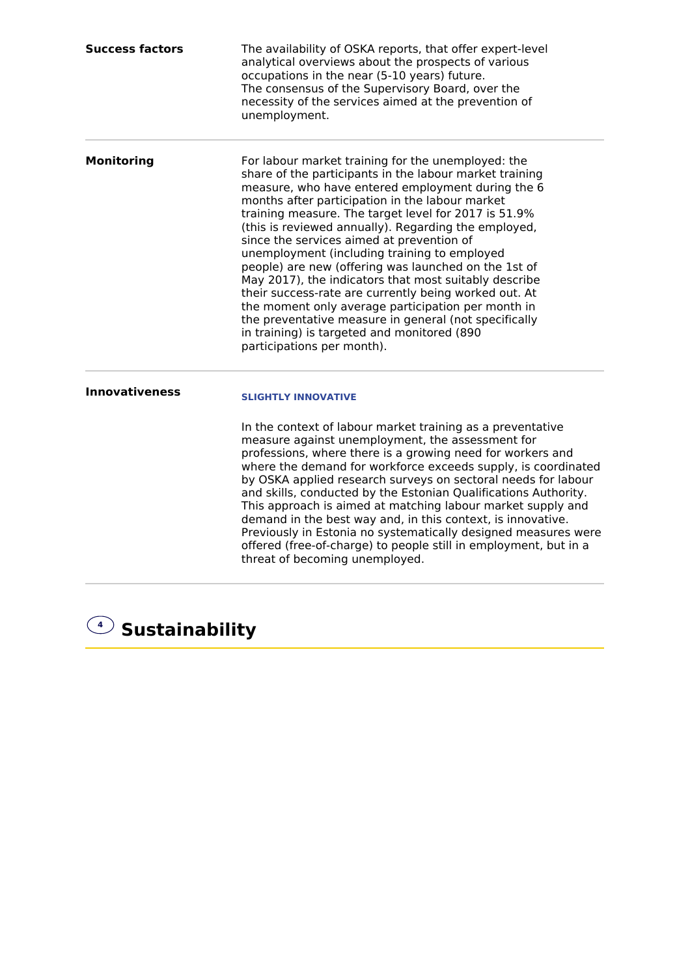| <b>Success factors</b> | The availability of OSKA reports, that offer expert-level<br>analytical overviews about the prospects of various<br>occupations in the near (5-10 years) future.<br>The consensus of the Supervisory Board, over the<br>necessity of the services aimed at the prevention of<br>unemployment.                                                                                                                                                                                                                                                                                                                                                                                                                                                                                                            |
|------------------------|----------------------------------------------------------------------------------------------------------------------------------------------------------------------------------------------------------------------------------------------------------------------------------------------------------------------------------------------------------------------------------------------------------------------------------------------------------------------------------------------------------------------------------------------------------------------------------------------------------------------------------------------------------------------------------------------------------------------------------------------------------------------------------------------------------|
| <b>Monitoring</b>      | For labour market training for the unemployed: the<br>share of the participants in the labour market training<br>measure, who have entered employment during the 6<br>months after participation in the labour market<br>training measure. The target level for 2017 is 51.9%<br>(this is reviewed annually). Regarding the employed,<br>since the services aimed at prevention of<br>unemployment (including training to employed<br>people) are new (offering was launched on the 1st of<br>May 2017), the indicators that most suitably describe<br>their success-rate are currently being worked out. At<br>the moment only average participation per month in<br>the preventative measure in general (not specifically<br>in training) is targeted and monitored (890<br>participations per month). |
| <b>Innovativeness</b>  | <b>SLIGHTLY INNOVATIVE</b><br>In the context of labour market training as a preventative<br>measure against unemployment, the assessment for<br>professions, where there is a growing need for workers and<br>where the demand for workforce exceeds supply, is coordinated<br>by OSKA applied research surveys on sectoral needs for labour<br>and skills, conducted by the Estonian Qualifications Authority.<br>This approach is aimed at matching labour market supply and<br>demand in the best way and, in this context, is innovative.<br>Previously in Estonia no systematically designed measures were<br>offered (free-of-charge) to people still in employment, but in a<br>threat of becoming unemployed.                                                                                    |